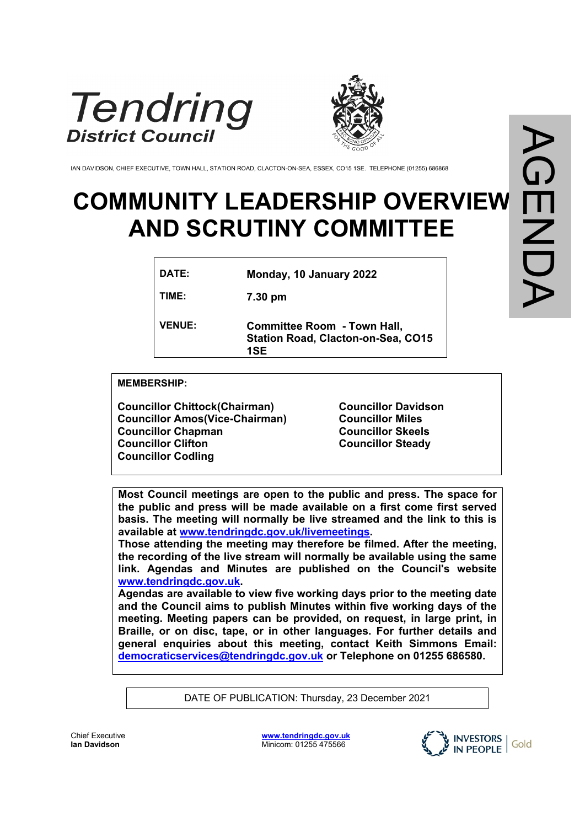



IAN DAVIDSON, CHIEF EXECUTIVE, TOWN HALL, STATION ROAD, CLACTON-ON-SEA, ESSEX, CO15 1SE. TELEPHONE (01255) 686868

# **COMMUNITY LEADERSHIP OVERVIEW AND SCRUTINY COMMITTEE**

| DATE:         | Monday, 10 January 2022                                                                |
|---------------|----------------------------------------------------------------------------------------|
| TIME:         | 7.30 pm                                                                                |
| <b>VENUE:</b> | <b>Committee Room - Town Hall,</b><br><b>Station Road, Clacton-on-Sea, CO15</b><br>1SE |

**MEMBERSHIP:**

**Councillor Chittock(Chairman) Councillor Amos(Vice-Chairman) Councillor Chapman Councillor Clifton Councillor Codling**

**Councillor Davidson Councillor Miles Councillor Skeels Councillor Steady**

**Most Council meetings are open to the public and press. The space for the public and press will be made available on a first come first served basis. The meeting will normally be live streamed and the link to this is available at [www.tendringdc.gov.uk/livemeetings](http://www.tendringdc.gov.uk/livemeetings).**

**Those attending the meeting may therefore be filmed. After the meeting, the recording of the live stream will normally be available using the same link. Agendas and Minutes are published on the Council's website [www.tendringdc.gov.uk](http://www.tendringdc.gov.uk/).**

**Agendas are available to view five working days prior to the meeting date and the Council aims to publish Minutes within five working days of the meeting. Meeting papers can be provided, on request, in large print, in Braille, or on disc, tape, or in other languages. For further details and general enquiries about this meeting, contact Keith Simmons Email: [democraticservices@tendringdc.gov.uk](mailto:democraticservices@tendringdc.gov.uk) or Telephone on 01255 686580.**

DATE OF PUBLICATION: Thursday, 23 December 2021



Chief Executive **Ian Davidson** 

**[www.tendringdc.gov.uk](http://www.tendringdc.gov.uk/)** Minicom: 01255 475566

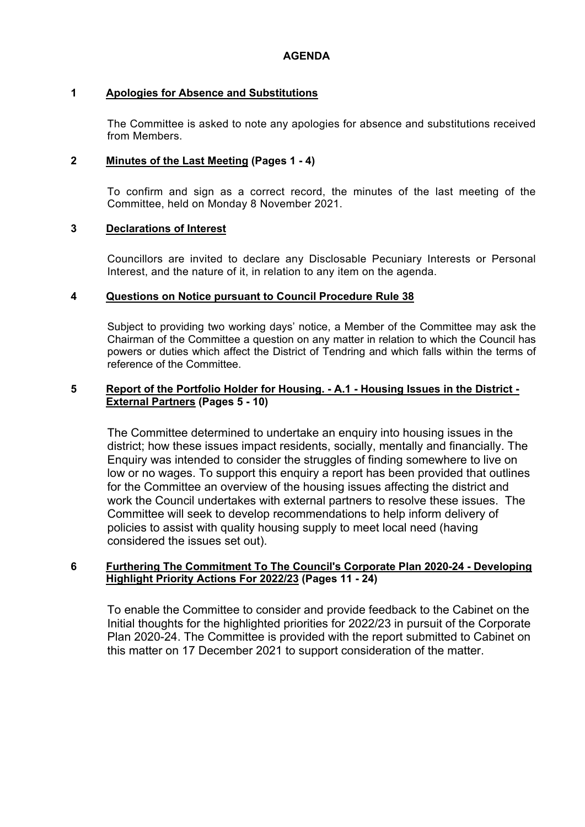# **1 Apologies for Absence and Substitutions**

The Committee is asked to note any apologies for absence and substitutions received from Members.

# **2 Minutes of the Last Meeting (Pages 1 - 4)**

To confirm and sign as a correct record, the minutes of the last meeting of the Committee, held on Monday 8 November 2021.

# **3 Declarations of Interest**

Councillors are invited to declare any Disclosable Pecuniary Interests or Personal Interest, and the nature of it, in relation to any item on the agenda.

# **4 Questions on Notice pursuant to Council Procedure Rule 38**

Subject to providing two working days' notice, a Member of the Committee may ask the Chairman of the Committee a question on any matter in relation to which the Council has powers or duties which affect the District of Tendring and which falls within the terms of reference of the Committee.

#### **5 Report of the Portfolio Holder for Housing. - A.1 - Housing Issues in the District - External Partners (Pages 5 - 10)**

The Committee determined to undertake an enquiry into housing issues in the district; how these issues impact residents, socially, mentally and financially. The Enquiry was intended to consider the struggles of finding somewhere to live on low or no wages. To support this enquiry a report has been provided that outlines for the Committee an overview of the housing issues affecting the district and work the Council undertakes with external partners to resolve these issues. The Committee will seek to develop recommendations to help inform delivery of policies to assist with quality housing supply to meet local need (having considered the issues set out).

# **6 Furthering The Commitment To The Council's Corporate Plan 2020-24 - Developing Highlight Priority Actions For 2022/23 (Pages 11 - 24)**

To enable the Committee to consider and provide feedback to the Cabinet on the Initial thoughts for the highlighted priorities for 2022/23 in pursuit of the Corporate Plan 2020-24. The Committee is provided with the report submitted to Cabinet on this matter on 17 December 2021 to support consideration of the matter.